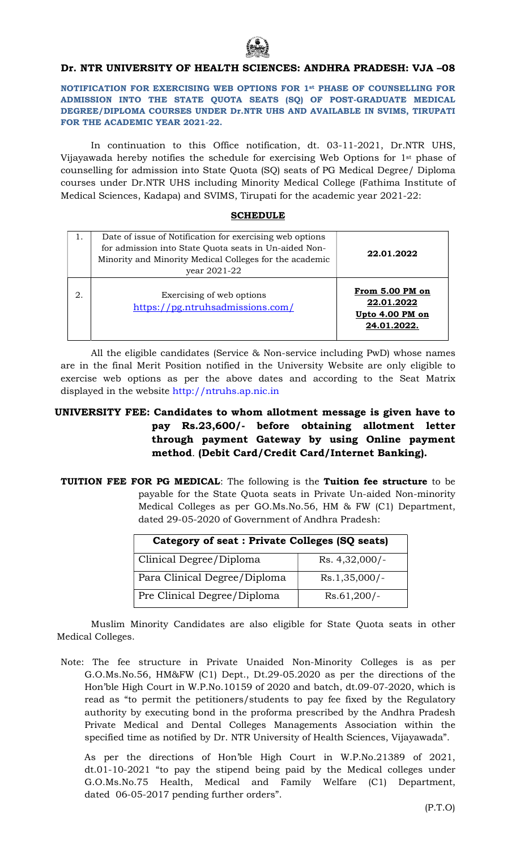

## Dr. NTR UNIVERSITY OF HEALTH SCIENCES: ANDHRA PRADESH: VJA –08

NOTIFICATION FOR EXERCISING WEB OPTIONS FOR 1st PHASE OF COUNSELLING FOR ADMISSION INTO THE STATE QUOTA SEATS (SQ) OF POST-GRADUATE MEDICAL DEGREE/DIPLOMA COURSES UNDER Dr.NTR UHS AND AVAILABLE IN SVIMS, TIRUPATI FOR THE ACADEMIC YEAR 2021-22.

In continuation to this Office notification, dt. 03-11-2021, Dr.NTR UHS, Vijayawada hereby notifies the schedule for exercising Web Options for 1st phase of counselling for admission into State Quota (SQ) seats of PG Medical Degree/ Diploma courses under Dr.NTR UHS including Minority Medical College (Fathima Institute of Medical Sciences, Kadapa) and SVIMS, Tirupati for the academic year 2021-22:

## SCHEDULE

|    | Date of issue of Notification for exercising web options<br>for admission into State Quota seats in Un-aided Non-<br>Minority and Minority Medical Colleges for the academic<br>year 2021-22 | 22.01.2022                                                      |
|----|----------------------------------------------------------------------------------------------------------------------------------------------------------------------------------------------|-----------------------------------------------------------------|
| 2. | Exercising of web options<br>https://pg.ntruhsadmissions.com/                                                                                                                                | From 5.00 PM on<br>22.01.2022<br>Upto 4.00 PM on<br>24.01.2022. |

All the eligible candidates (Service & Non-service including PwD) whose names are in the final Merit Position notified in the University Website are only eligible to exercise web options as per the above dates and according to the Seat Matrix displayed in the website http://ntruhs.ap.nic.in

## UNIVERSITY FEE: Candidates to whom allotment message is given have to pay Rs.23,600/- before obtaining allotment letter through payment Gateway by using Online payment method. (Debit Card/Credit Card/Internet Banking).

TUITION FEE FOR PG MEDICAL: The following is the Tuition fee structure to be payable for the State Quota seats in Private Un-aided Non-minority Medical Colleges as per GO.Ms.No.56, HM & FW (C1) Department, dated 29-05-2020 of Government of Andhra Pradesh:

| Category of seat : Private Colleges (SQ seats) |                  |  |
|------------------------------------------------|------------------|--|
| Clinical Degree/Diploma                        | $Rs. 4,32,000/-$ |  |
| Para Clinical Degree/Diploma                   | $Rs.1,35,000/-$  |  |
| Pre Clinical Degree/Diploma                    | $Rs.61,200/-$    |  |

 Muslim Minority Candidates are also eligible for State Quota seats in other Medical Colleges.

Note: The fee structure in Private Unaided Non-Minority Colleges is as per G.O.Ms.No.56, HM&FW (C1) Dept., Dt.29-05.2020 as per the directions of the Hon'ble High Court in W.P.No.10159 of 2020 and batch, dt.09-07-2020, which is read as "to permit the petitioners/students to pay fee fixed by the Regulatory authority by executing bond in the proforma prescribed by the Andhra Pradesh Private Medical and Dental Colleges Managements Association within the specified time as notified by Dr. NTR University of Health Sciences, Vijayawada".

 As per the directions of Hon'ble High Court in W.P.No.21389 of 2021, dt.01-10-2021 "to pay the stipend being paid by the Medical colleges under G.O.Ms.No.75 Health, Medical and Family Welfare (C1) Department, dated 06-05-2017 pending further orders".